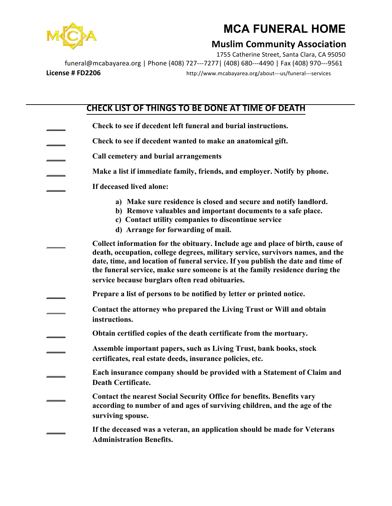

## **MCA FUNERAL HOME**

## **Muslim Community Association**

1755 Catherine Street, Santa Clara, CA 95050 funeral@mcabayarea.org | Phone (408) 727---7277 | (408) 680---4490 | Fax (408) 970---9561 **License # FD2206** http://www.mcabayarea.org/about---us/funeral---services

## **CHECK LIST OF THINGS TO BE DONE AT TIME OF DEATH**

**\_\_\_\_\_\_ Check to see if decedent left funeral and burial instructions. \_\_\_\_\_\_ Check to see if decedent wanted to make an anatomical gift. \_\_\_\_\_\_ Call cemetery and burial arrangements \_\_\_\_\_\_ Make a list if immediate family, friends, and employer. Notify by phone. \_\_\_\_\_\_ If deceased lived alone: a) Make sure residence is closed and secure and notify landlord. b) Remove valuables and important documents to a safe place. c) Contact utility companies to discontinue service d) Arrange for forwarding of mail. \_\_\_\_\_\_ Collect information for the obituary. Include age and place of birth, cause of death, occupation, college degrees, military service, survivors names, and the date, time, and location of funeral service. If you publish the date and time of the funeral service, make sure someone is at the family residence during the service because burglars often read obituaries. \_\_\_\_\_\_ Prepare a list of persons to be notified by letter or printed notice. \_\_\_\_\_\_ Contact the attorney who prepared the Living Trust or Will and obtain instructions. \_\_\_\_\_\_ Obtain certified copies of the death certificate from the mortuary. \_\_\_\_\_\_ Assemble important papers, such as Living Trust, bank books, stock certificates, real estate deeds, insurance policies, etc. \_\_\_\_\_\_ Each insurance company should be provided with a Statement of Claim and Death Certificate. \_\_\_\_\_\_ Contact the nearest Social Security Office for benefits. Benefits vary according to number of and ages of surviving children, and the age of the surviving spouse. \_\_\_\_\_\_ If the deceased was a veteran, an application should be made for Veterans Administration Benefits.**